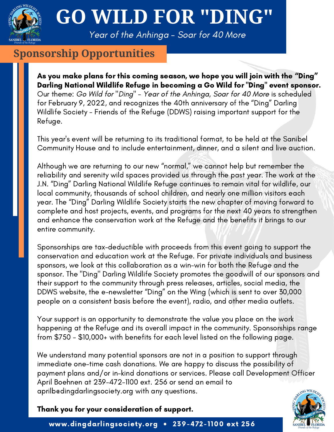

## **GO WILD FOR "DING"**

Year of the Anhinga - Soar for 40 More

#### **Sponsorship Opportunities**

As you make plans for this coming season, we hope you will join with the "Ding" Darling National Wildlife Refuge in becoming a Go Wild for "Ding" event sponsor. Our theme: Go Wild for "Ding" - Year of the Anhinga, Soar for 40 More is scheduled for February 9, 2022, and recognizes the 40th anniversary of the "Ding" Darling Wildlife Society - Friends of the Refuge (DDWS) raising important support for the Refuge.

This year's event will be returning to its traditional format, to be held at the Sanibel Community House and to include entertainment, dinner, and a silent and live auction.

Although we are returning to our new "normal," we cannot help but remember the reliability and serenity wild spaces provided us through the past year. The work at the J.N. "Ding" Darling National Wildlife Refuge continues to remain vital for wildlife, our local community, thousands of school children, and nearly one million visitors each year. The "Ding" Darling Wildlife Society starts the new chapter of moving forward to complete and host projects, events, and programs for the next 40 years to strengthen and enhance the conservation work at the Refuge and the benefits it brings to our entire community.

Sponsorships are tax-deductible with proceeds from this event going to support the conservation and education work at the Refuge. For private individuals and business sponsors, we look at this collaboration as a win-win for both the Refuge and the sponsor. The "Ding" Darling Wildlife Society promotes the goodwill of our sponsors and their support to the community through press releases, articles, social media, the DDWS website, the e-newsletter "Ding" on the Wing (which is sent to over 30,000 people on a consistent basis before the event), radio, and other media outlets.

Your support is an opportunity to demonstrate the value you place on the work happening at the Refuge and its overall impact in the community. Sponsorships range from \$750 - \$10,000+ with benefits for each level listed on the following page.

We understand many potential sponsors are not in a position to support through immediate one-time cash donations. We are happy to discuss the possibility of payment plans and/or in-kind donations or services. Please call Development Officer April Boehnen at 239-472-1100 ext. 256 or send an email to aprilb@dingdarlingsociety.org with any questions.

Thank you for your consideration of support.

www.dingdarlingsociety.org • 239-472-1100 ext 256

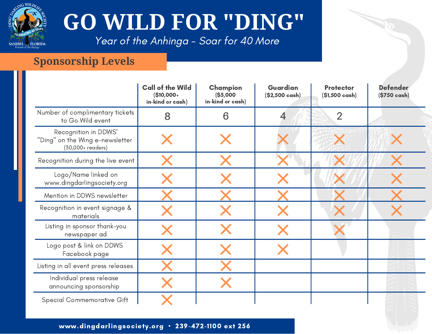

# **GO WILD FOR "DING"**

Year of the Anhinga - Soar for 40 More

### **Sponsorship Levels**

|                                                                              | <b>Call of the Wild</b><br>$$10,000+$<br>in-kind or cash) | Champion<br>(\$5,000<br>in-kind or cash) | Guardian<br>$(S2,500 \text{ cash})$ | <b>Protector</b><br>(\$1,500 cash) | <b>Defender</b><br>(\$750 cash) |
|------------------------------------------------------------------------------|-----------------------------------------------------------|------------------------------------------|-------------------------------------|------------------------------------|---------------------------------|
| Number of complimentary tickets<br>to Go Wild event                          | 8                                                         | 6                                        | 4                                   | $\overline{2}$                     |                                 |
| Recognition in DDWS'<br>"Ding" on the Wing e-newsletter<br>(30,000+ readers) |                                                           |                                          |                                     |                                    |                                 |
| Recognition during the live event                                            |                                                           |                                          |                                     |                                    |                                 |
| Logo/Name linked on<br>www.dingdarlingsociety.org                            |                                                           |                                          |                                     |                                    |                                 |
| Mention in DDWS newsletter                                                   |                                                           |                                          |                                     |                                    |                                 |
| Recognition in event signage &<br>materials                                  |                                                           |                                          |                                     |                                    |                                 |
| Listing in sponsor thank-you<br>newspaper ad                                 |                                                           |                                          |                                     |                                    |                                 |
| Logo post & link on DDWS<br>Facebook page                                    |                                                           |                                          |                                     |                                    |                                 |
| Listing in all event press releases                                          |                                                           |                                          |                                     |                                    |                                 |
| Individual press release<br>announcing sponsorship                           |                                                           |                                          |                                     |                                    |                                 |
| <b>Special Commemorative Gift</b>                                            |                                                           |                                          |                                     |                                    |                                 |